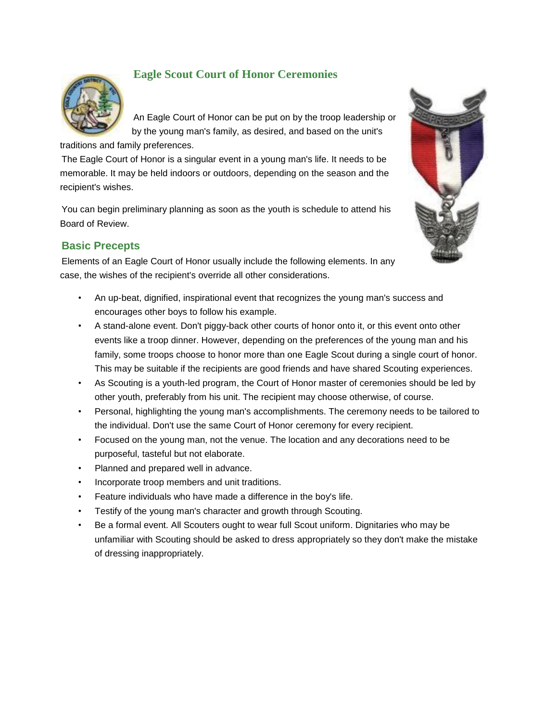

# **Eagle Scout Court of Honor Ceremonies**

An Eagle Court of Honor can be put on by the troop leadership or by the young man's family, as desired, and based on the unit's

traditions and family preferences.

The Eagle Court of Honor is a singular event in a young man's life. It needs to be memorable. It may be held indoors or outdoors, depending on the season and the recipient's wishes.

You can begin preliminary planning as soon as the youth is schedule to attend his Board of Review.

# **Basic Precepts**

Elements of an Eagle Court of Honor usually include the following elements. In any case, the wishes of the recipient's override all other considerations.



- An up-beat, dignified, inspirational event that recognizes the young man's success and encourages other boys to follow his example.
- A stand-alone event. Don't piggy-back other courts of honor onto it, or this event onto other events like a troop dinner. However, depending on the preferences of the young man and his family, some troops choose to honor more than one Eagle Scout during a single court of honor. This may be suitable if the recipients are good friends and have shared Scouting experiences.
- As Scouting is a youth-led program, the Court of Honor master of ceremonies should be led by other youth, preferably from his unit. The recipient may choose otherwise, of course.
- Personal, highlighting the young man's accomplishments. The ceremony needs to be tailored to the individual. Don't use the same Court of Honor ceremony for every recipient.
- Focused on the young man, not the venue. The location and any decorations need to be purposeful, tasteful but not elaborate.
- Planned and prepared well in advance.
- Incorporate troop members and unit traditions.
- Feature individuals who have made a difference in the boy's life.
- Testify of the young man's character and growth through Scouting.
- Be a formal event. All Scouters ought to wear full Scout uniform. Dignitaries who may be unfamiliar with Scouting should be asked to dress appropriately so they don't make the mistake of dressing inappropriately.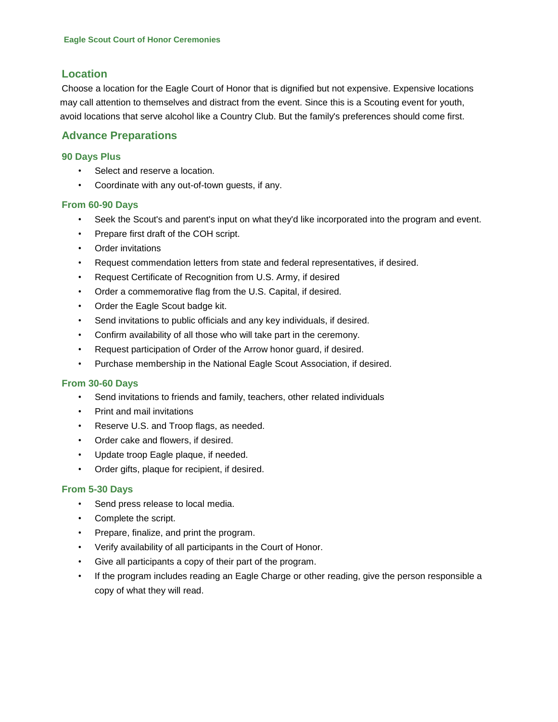# **Location**

Choose a location for the Eagle Court of Honor that is dignified but not expensive. Expensive locations may call attention to themselves and distract from the event. Since this is a Scouting event for youth, avoid locations that serve alcohol like a Country Club. But the family's preferences should come first.

## **Advance Preparations**

#### **90 Days Plus**

- Select and reserve a location.
- Coordinate with any out-of-town guests, if any.

#### **From 60-90 Days**

- Seek the Scout's and parent's input on what they'd like incorporated into the program and event.
- Prepare first draft of the COH script.
- Order invitations
- Request commendation letters from state and federal representatives, if desired.
- Request Certificate of Recognition from U.S. Army, if desired
- Order a commemorative flag from the U.S. Capital, if desired.
- Order the Eagle Scout badge kit.
- Send invitations to public officials and any key individuals, if desired.
- Confirm availability of all those who will take part in the ceremony.
- Request participation of Order of the Arrow honor guard, if desired.
- Purchase membership in the National Eagle Scout Association, if desired.

#### **From 30-60 Days**

- Send invitations to friends and family, teachers, other related individuals
- Print and mail invitations
- Reserve U.S. and Troop flags, as needed.
- Order cake and flowers, if desired.
- Update troop Eagle plaque, if needed.
- Order gifts, plaque for recipient, if desired.

## **From 5-30 Days**

- Send press release to local media.
- Complete the script.
- Prepare, finalize, and print the program.
- Verify availability of all participants in the Court of Honor.
- Give all participants a copy of their part of the program.
- If the program includes reading an Eagle Charge or other reading, give the person responsible a copy of what they will read.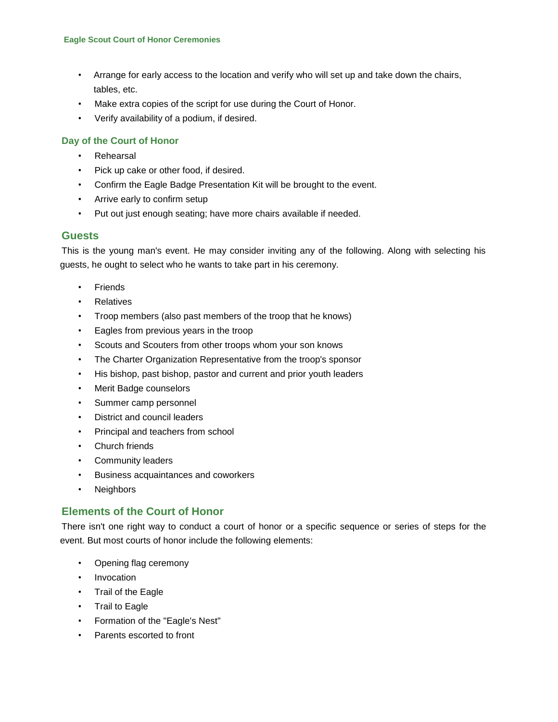- Arrange for early access to the location and verify who will set up and take down the chairs, tables, etc.
- Make extra copies of the script for use during the Court of Honor.
- Verify availability of a podium, if desired.

## **Day of the Court of Honor**

- **Rehearsal**
- Pick up cake or other food, if desired.
- Confirm the Eagle Badge Presentation Kit will be brought to the event.
- Arrive early to confirm setup
- Put out just enough seating; have more chairs available if needed.

## **Guests**

This is the young man's event. He may consider inviting any of the following. Along with selecting his guests, he ought to select who he wants to take part in his ceremony.

- **Friends**
- **Relatives**
- Troop members (also past members of the troop that he knows)
- Eagles from previous years in the troop
- Scouts and Scouters from other troops whom your son knows
- The Charter Organization Representative from the troop's sponsor
- His bishop, past bishop, pastor and current and prior youth leaders
- Merit Badge counselors
- Summer camp personnel
- District and council leaders
- Principal and teachers from school
- Church friends
- Community leaders
- Business acquaintances and coworkers
- **Neighbors**

# **Elements of the Court of Honor**

There isn't one right way to conduct a court of honor or a specific sequence or series of steps for the event. But most courts of honor include the following elements:

- Opening flag ceremony
- **Invocation**
- Trail of the Eagle
- Trail to Eagle
- Formation of the "Eagle's Nest"
- Parents escorted to front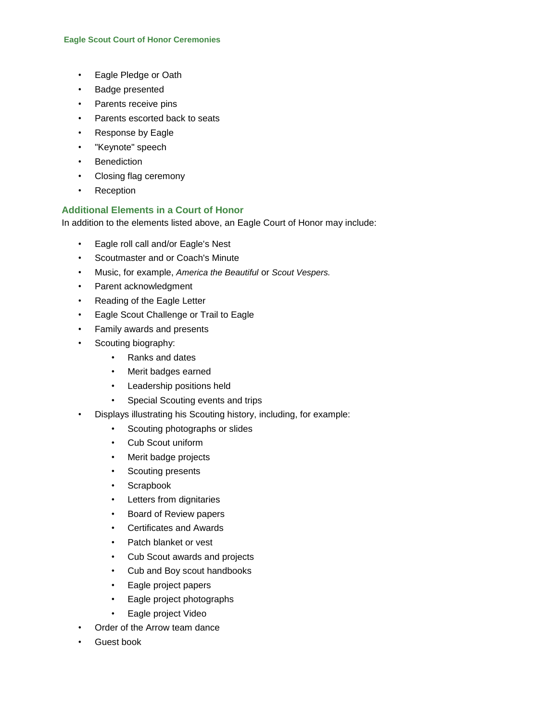- Eagle Pledge or Oath
- Badge presented
- Parents receive pins
- Parents escorted back to seats
- Response by Eagle
- "Keynote" speech
- **Benediction**
- Closing flag ceremony
- Reception

## **Additional Elements in a Court of Honor**

In addition to the elements listed above, an Eagle Court of Honor may include:

- Eagle roll call and/or Eagle's Nest
- Scoutmaster and or Coach's Minute
- Music, for example, *America the Beautiful* or *Scout Vespers.*
- Parent acknowledgment
- Reading of the Eagle Letter
- Eagle Scout Challenge or Trail to Eagle
- Family awards and presents
- Scouting biography:
	- Ranks and dates
	- Merit badges earned
	- Leadership positions held
	- Special Scouting events and trips
- Displays illustrating his Scouting history, including, for example:
	- Scouting photographs or slides
	- Cub Scout uniform
	- Merit badge projects
	- Scouting presents
	- Scrapbook
	- Letters from dignitaries
	- Board of Review papers
	- Certificates and Awards
	- Patch blanket or vest
	- Cub Scout awards and projects
	- Cub and Boy scout handbooks
	- Eagle project papers
	- Eagle project photographs
	- Eagle project Video
- Order of the Arrow team dance
- Guest book